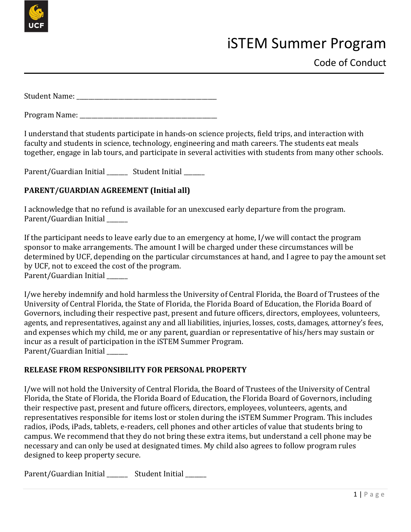

# iSTEM Summer Program

Student Name:

Program Name:

I understand that students participate in hands-on science projects, field trips, and interaction with faculty and students in science, technology, engineering and math careers. The students eat meals together, engage in lab tours, and participate in several activities with students from many other schools.

Parent/Guardian Initial \_\_\_\_\_\_ Student Initial \_\_\_\_\_

## **PARENT/GUARDIAN AGREEMENT (Initial all)**

I acknowledge that no refund is available for an unexcused early departure from the program. Parent/Guardian Initial

If the participant needs to leave early due to an emergency at home, I/we will contact the program sponsor to make arrangements. The amount I will be charged under these circumstances will be determined by UCF, depending on the particular circumstances at hand, and I agree to pay the amount set by UCF, not to exceed the cost of the program. Parent/Guardian Initial

I/we hereby indemnify and hold harmless the University of Central Florida, the Board of Trustees of the University of Central Florida, the State of Florida, the Florida Board of Education, the Florida Board of Governors, including their respective past, present and future officers, directors, employees, volunteers, agents, and representatives, against any and all liabilities, injuries, losses, costs, damages, attorney's fees, and expenses which my child, me or any parent, guardian or representative of his/hers may sustain or incur as a result of participation in the iSTEM Summer Program. Parent/Guardian Initial \_\_\_\_\_\_\_

#### **RELEASE FROM RESPONSIBILITY FOR PERSONAL PROPERTY**

I/we will not hold the University of Central Florida, the Board of Trustees of the University of Central Florida, the State of Florida, the Florida Board of Education, the Florida Board of Governors, including their respective past, present and future officers, directors, employees, volunteers, agents, and representatives responsible for items lost or stolen during the iSTEM Summer Program. This includes radios, iPods, iPads, tablets, e-readers, cell phones and other articles of value that students bring to campus. We recommend that they do not bring these extra items, but understand a cell phone may be necessary and can only be used at designated times. My child also agrees to follow program rules designed to keep property secure.

Parent/Guardian Initial **Student Initial**